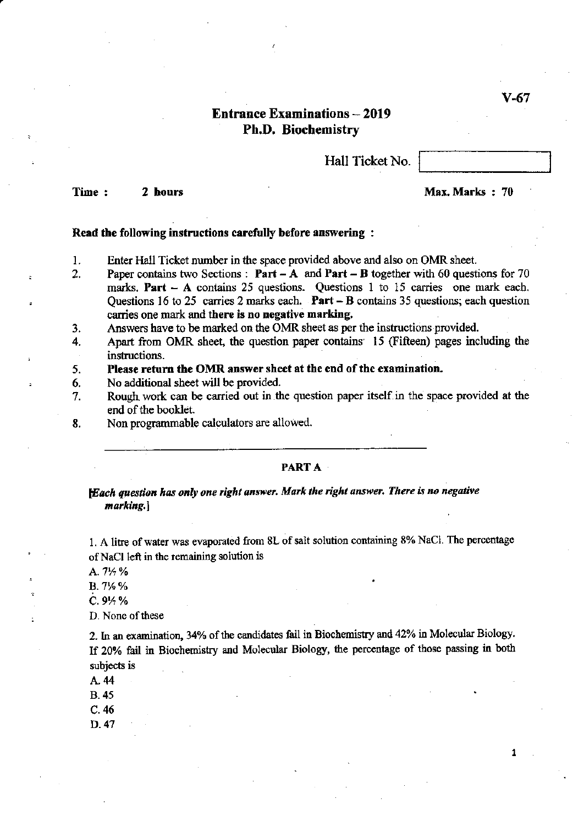V-67

# Entrance Examinations - 2019 Ph.D. Biochemistry

Hall Ticket No.

Time : 2 hours and 2 contract the contract of the Max Marks : 70

#### Read the following instructions carefully before answering :

- I. Enter Hall Ticket number in the space provided above and also on OMR sheet.
- 2. Paper contains two Sections: Part  $-A$  and Part  $-B$  together with 60 questions for 70 marks. Part  $-$  A contains 25 questions. Questions 1 to 15 carries one mark each. Questions 16 to 25 carries 2 marks each. Part  $-$  B contains 35 questions; each question carries one mark and there is no negative marking.
- 3. Answers have to be marked on the OMR sheet as per the instructions provided.
- 4. Apart from OMR sheet, the question paper contains' 15 (Fifteen) pages including the instructions.
- 5. Please return the OMR answer sheet at the end of the examination.
- 6. No additional sheet will be provided.
- 7. Rough work can be carried out in the question paper itself in the space provided at the end of the booklet.
- 8. Non programmable calculators are allowed.

### PARTA·

*tEach question has only one right answer. Mark the right answer. There is no negative*  marking.)

1. A litre of water was evaporated from 8L of salt solution containing 8% NaCl. The percentage of NaCl left in the remaining solution is

A. 7<sup>1</sup>/<sub>2</sub> %

B. 7% %

 $C.9\%$ %

D. None of these

2. In an examination, 34% of the candidates fail in Biochemistry and 42% in Molecular Biology. If 20% fail in Biochemistry and Molecular Biology, the percentage of those passing in both subjects is

A.44

B. 45

C.46

D.47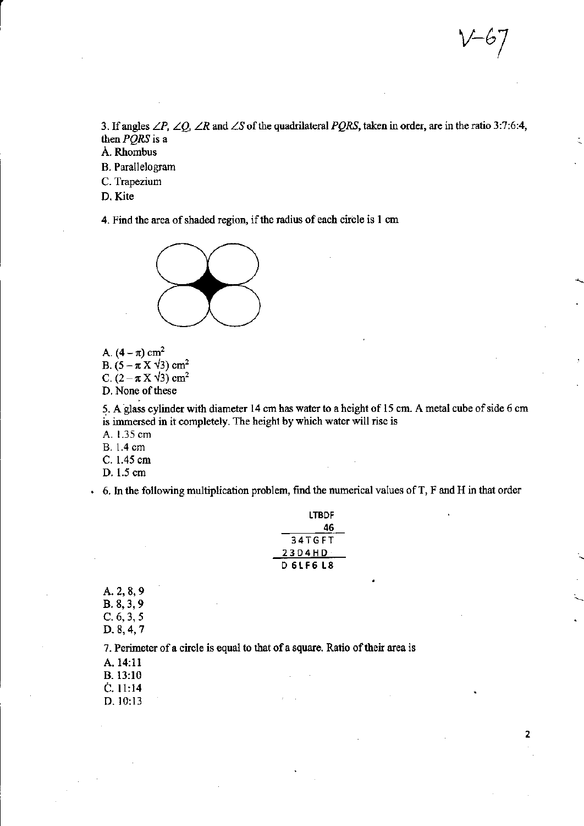2

3. If angles *LP. LQ, LR* and *LS* of the quadrilateral *PQRS,* taken in order, are in the ratio 3:7:6:4, then *PQRS* is a

A. Rhombus

B. Parallelogram

C. Trapezium

D. Kite

 $\begin{bmatrix} 1 \\ 1 \end{bmatrix}$ 

4. Find the area of shaded region, if the radius of each circle is 1 em



A.  $(4-\pi)$  cm<sup>2</sup> B.  $(5-\pi X\sqrt{3})$  cm<sup>2</sup> C.  $(2-\pi X\sqrt{3})$  cm<sup>2</sup>

D. None of these

5. A-glass cylinder with diameter 14 cmhas water to a height of 15 em. A metal cube of side 6 em is immersed in it completely. The height by which water will rise is

A. 1.35 em

B. 1.4 em

C. 1.45 em

D. 1.5 em

6. In the following multiplication problem, fmd the numerical values ofT, F and H in that order

| LTBDF         |
|---------------|
| 46            |
| <b>34TGFT</b> |
| 23D4HD        |
| D 6 L F 6 L 8 |

A. 2, 8, 9 B. 8, 3, 9 C.6,3,5 D. 8,4, 7

7. Perimeter of a circle is equal to that of a square. Ratio of their area is

A. 14:11

B.13:10

C.ll:14

D.IO:13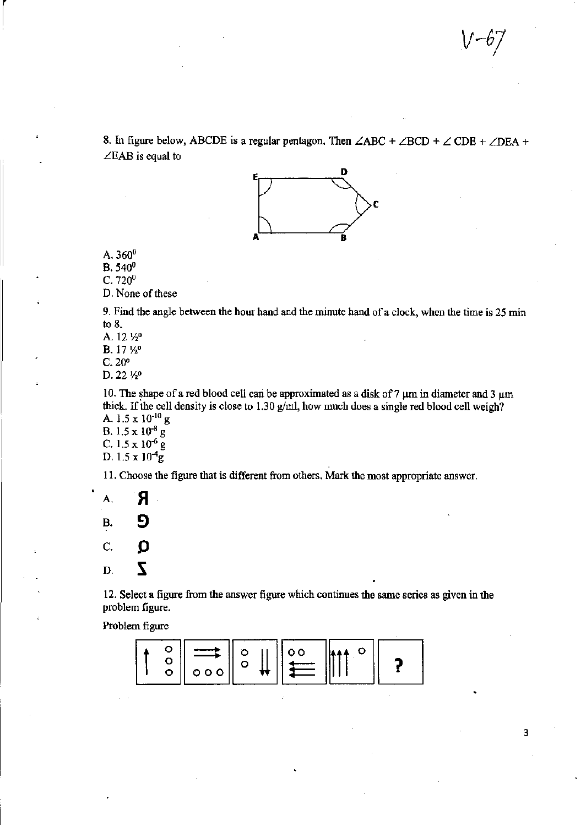8. In figure below, ABCDE is a regular pentagon. Then  $\angle ABC + \angle BCD + \angle CDE + \angle DEA + \angle DEA$ *LEAB* is equal to



A.  $360^0$ 

B. 540<sup>0</sup>

 $C.720<sup>0</sup>$ 

D. None of these

9. Find the angle between the hour hand and the minute hand of a clock, when the time is 25 min to 8.

A. 12  $\frac{1}{2}$ 

B. 17 1/2<sup>0</sup>

C.20"

D. 22 1/2<sup>0</sup>

10. The shape of a red blood cell can be approximated as a disk of 7  $\mu$ m in diameter and 3  $\mu$ m thick. If the cell density is close to  $1.30$  g/ml, how much does a single red blood cell weigh? A. 1.5 x 10-10 g

B.  $1.5 \times 10^{-8}$  g C.  $1.5 \times 10^{-6}$  g

D.  $1.5 \times 10^{-4}$ g

11. Choose the figure that is different from others. Mark the most appropriate answer.

 $A.$   $A$ B. 9 c.  $\bullet$  $D.$   $\bar{Z}$ 

12. Select a figure from the answer figure which continues the same series as given in the problem figure.

Problem figure

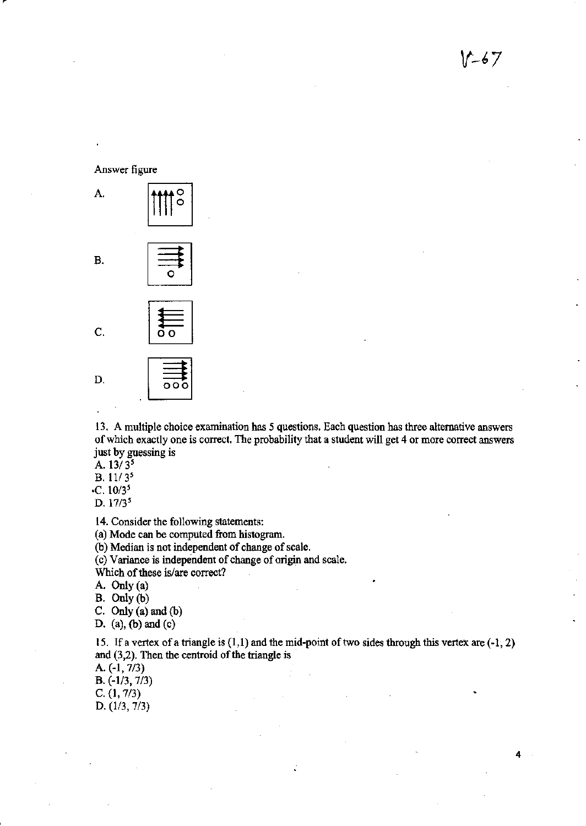4

**Answer figure** 



**13, A multiple choice examination has 5 questions. Each question has three alternative answers of which exactly one is correct. The probability that a student will get 4 or more correct answers just by guessing is** 

*A.13/3'* 

B.  $11/3^5$ 

*·C.10/3'* 

D. *17/3'* 

**14. Consider the following statements:** 

**(a) Mode can be computed from histogram.** 

**(b) Median is not independent of change of scale.** 

(c ) **Variance is independent of change of origin and scale.** 

**Which** of these **is/are correct?** 

A. Only (a)

B. Only (b)

C. Only (a) and (b)

D. (a), (b) and (c)

15. If a vertex of a triangle is (1,1) and the mid·point of two sides through this vertex are (·1, 2) and (3,2). Then the centroid of the triangle is

A. (·1, *7/3)* 

B. (-113, *7/3)* 

C. (1, *7/3)* 

D. (1/3, 7/3)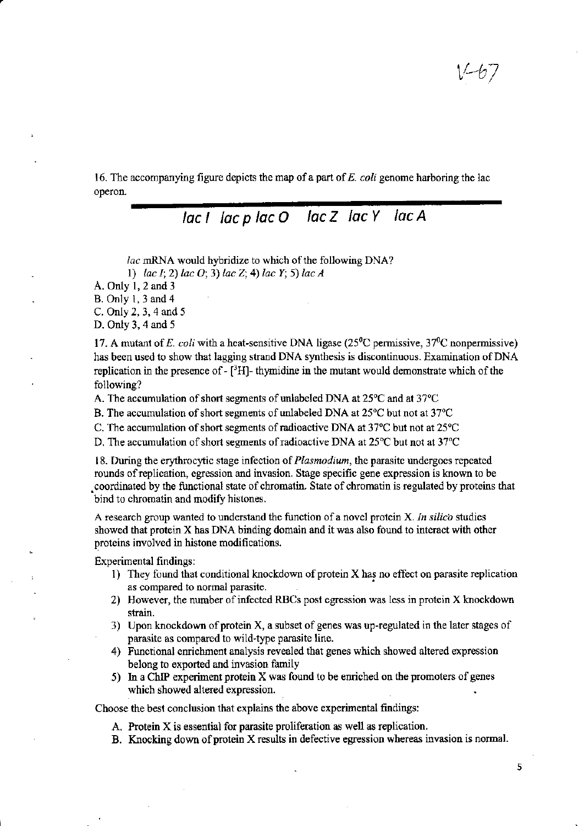16. The accompanying figure depicts the map of a part of *E. coli* genome harboring the lac operon.

# $lac I$   $lac p$   $lac O$   $lac Z$   $lac Y$   $lac A$

*lac* mRNA would hybridize to which of the following DNA?

1) *lac I;* 2) *lac 0;* 3) *lac* Z; 4) *lac Y;* 5) *lac A* 

A. Only 1, 2 and 3

B. Only 1, 3 and 4

C. Only 2, 3, 4 and 5

D. Only 3, 4 and 5

17. A mutant of *E. coli* with a heat-sensitive DNA ligase (25°C pennissive, 37°C nonpennissive) has been used to show that lagging strand DNA synthesis is discontinuous. Examination of DNA replication in the presence of  $\text{-}$  [<sup>3</sup>H]- thymidine in the mutant would demonstrate which of the following?

A. The accumulation of short segments of unlabeled DNA at  $25^{\circ}$ C and at 37 $^{\circ}$ C

B. The accumulation of short segments of unlabeled DNA at  $25^{\circ}$ C but not at  $37^{\circ}$ C

C. The accumulation of short segments of radioactive DNA at 37°C but not at 25°C

D. The accumulation of short segments of radioactive DNA at 25°C but not at 37°C

18. During the erythrocytic stage infection of *Plasmodium,* the parasite undergoes repeated rounds of replication, egression and invasion. Stage specific gene expression is known to be • coordinated by the functional state of chromatin. State of chromatin is regulated by proteins that bind to chromatin and modify histones.

A research group wanted to understand the function of a novel protein X. *In silica* studies showed that protein X has DNA binding domain and it was also found to interact with other proteins involved in histone modifications.

Experimental findings:

- 1) They found that conditional knockdown of protein X has no effect on parasite replication as compared to normal parasite. •
- 2) However, the number of infected RBCs post egression was less in protein X knockdown strain.
- 3) Upon knockdown of protein X, a subset of genes was up-regulated in the later stages of parasite as compared to wild-type parasite line.
- 4) Functional enrichment analysis revealed that genes which showed altered expression belong to exported and invasion family
- 5) In a ChIP experiment protein X was found to be enriched on the promoters of genes which showed altered expression.

Choose the best conclusion that explains the above experimental findings:

- A. Protein X is essential for parasite proliferation as well as replication.
- B. Knocking down of protein X results in defective egression whereas invasion is nonnal.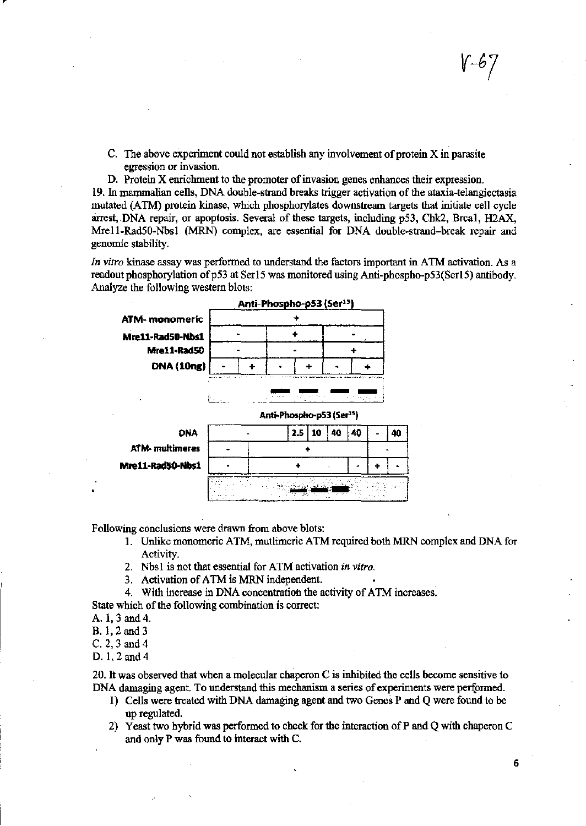- C. The above experiment could not establish any involvement of protein X in parasite egression or invasion.
- D. Protein X enrichment to the promoter of invasion genes enhances their expression.

19. In mammalian cells, DNA double-strand breaks trigger activation of the ataxia-telangiectasia mutated (ATM) protein kinase, which phosphorylates downstream targets that initiate cell cycle arrest, DNA repair, or apoptosis. Several of these targets, including pS3, Chk2, Brcal, H2AX, Mrell-RadSO-Nbsl (MRN) complex, are essential for DNA double-strand-break repair and genomic stability.

*In vitro* kinase assay was performed to understand the factors important in ATM activation. As a readout phosphorylation of p53 at Ser15 was monitored using Anti-phospho-p53(Ser15) antibody. Analyze the following western blots:



Following conclusions were drawn from above blots:

- 1. Unlike monomeric A TM, mutlimeric A TM required both MRN complex and DNA for Activity.
- 2. Nbsl is not that essential for ATM activation *in vitro.*
- 3. Activation of ATM is MRN independent.
- 4. With increase in DNA concentration the activity of ATM increases.

State which of the following combination is correct:

- A. 1,3 and 4.
- B.I,2and3
- C. 2, 3 and 4
- D.I,2and4

20. It was observed that when a molecular chaperon C is inhibited the cells become sensitive to DNA damaging agent. To understand this mechanism a series of experiments were performed.

- 1) Cells were treated with DNA damaging agent and two Genes P and Q were found to be up regulated.
- 2) Yeast two hybrid was performed to check for the interaction of P and Q with chaperon C and only P was found to interact with C.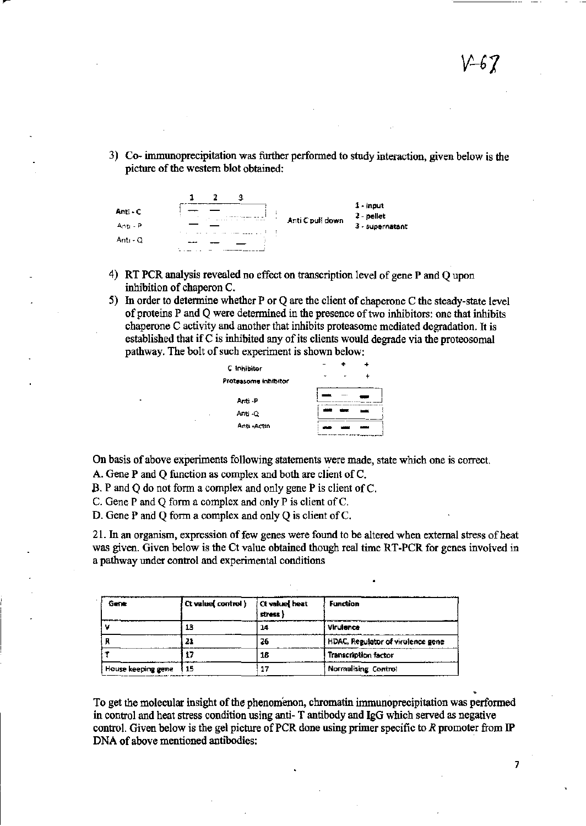3) Co- immunoprecipitation was further performed to study interaction, given below is the picture of the western blot obtained:



- 4) RT PCR analysis revealed no effect on transcription level of gene P and Q upon inhibition of chaperon C
- 5) In order to determine whether P or Q are the client of chaperone C the steady-state level of proteins P and Q were determined in the presence of two inhibitors: one that inhibits chaperone C activity and another that inhibits proteasome mediated degradation. It is established that if C is inhibited any of its clients would degrade via the proteosomal pathway. The bolt of such experiment is shown below:

| C Inhibitor          |  |
|----------------------|--|
| Proteasome inhibitor |  |
| Anti -P              |  |
| Anti-Q               |  |
| Anti Actin           |  |
|                      |  |

On basis of above experiments following statements were made, state which one is correct.

A. Gene P and Q function as complex and both are client ofC.

B. P and Q do not form a complex and only gene P is client ofC.

e. Gene P and Q form a complex and only P is client of C.

D. Gene P and Q form a complex and only  $Q$  is client of  $C$ .

21. In an organism, expression of few genes were found to be altered when external stress of heat was given. Given below is the Ct value obtained though real time RT-PCR for genes involved in a pathway under control and experimental conditions

| Gene               | (Ct value( control ) | Ct volue heat<br>stress } | <b>Function</b>                   |
|--------------------|----------------------|---------------------------|-----------------------------------|
|                    | 13                   | 14                        | Virulance                         |
|                    | 21                   | 26                        | HDAC, Regulator of virulence gene |
|                    |                      | 16                        | <b>Transcription factor</b>       |
| House keeping gene | l 15                 |                           | Normalising Control               |

To get the molecular insight of the phenomenon, chromatin immunoprecipitation was performed in control and heat stress condition using anti- T antibody and IgG which served as negative control. Given below is the gel picture of PCR done using primer specific to *R* promoter from IP DNA of above mentioned antibodies: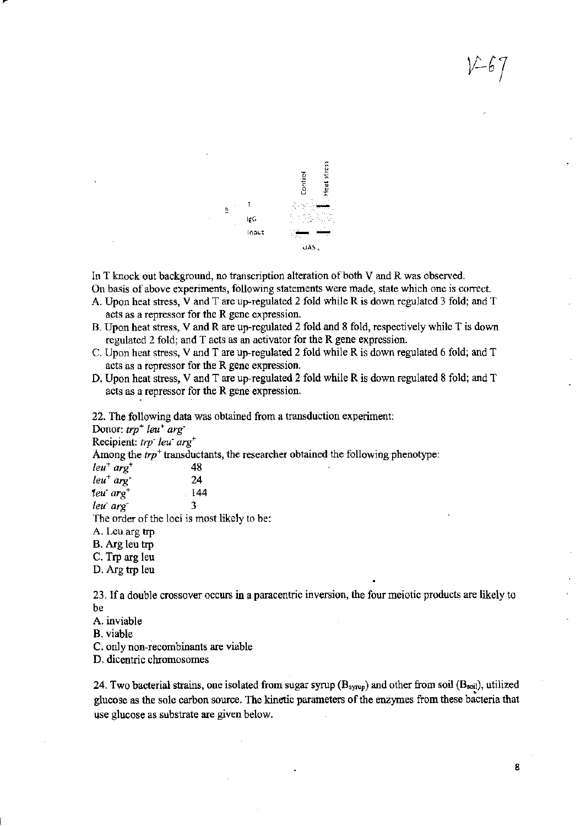

In T knock out background, no transcription alteration of both V and R was observed.

On basis of above experiments, following statements were made, state which one is correct.

- A. Upon heat stress, V and T are up-regulated 2 fold while R is down regulated 3 fold; and T acts as a repressor for the R gene expression.
- B. Upon heat stress, V and R are up-regulated 2 fold and 8 fold, respectively while T is down regulated 2 fold; and T acts as an activator for the R gene expression.
- C. Upon heat stress, V and T are up-regulated 2 fold while R is down regulated 6 fold; and T acts as a repressor for the R gene expression.
- D. Upon heat stress, V and T are up-regulated 2 fold while R is down regulated 8 fold; and T acts as a repressor for the R gene expression.

22. The following data was obtained from a transduction experiment:

Donor: *trp*<sup>+</sup> *leu<sup>+</sup> arg*<sup>-</sup>

Recipient: *trP" leu" arg+* 

Among the  $trp^+$  transductants, the researcher obtained the following phenotype:

*leu+ arg+ 48*   $leu^+ arg$  24 *teu"arg+ 144*   $lev \ arg$  3

The order of the loci is most likely to be:

A. Leu arg trp

B. Arg leu trp

C. Trp arg leu

D. Arg trp leu

23. If a double crossover occurs in a paracentric inversion, the four meiotic products are likely to be

A. inviable

B. viable

C. only non-recombinants are viable

D. dicentric chromosomes

24. Two bacterial strains, one isolated from sugar syrup  $(B_{syrup})$  and other from soil  $(B_{soli})$ , utilized glucose as the sole carbon source. The kinetic parameters of the enzymes from these bacteria that use glucose as substrate are given below.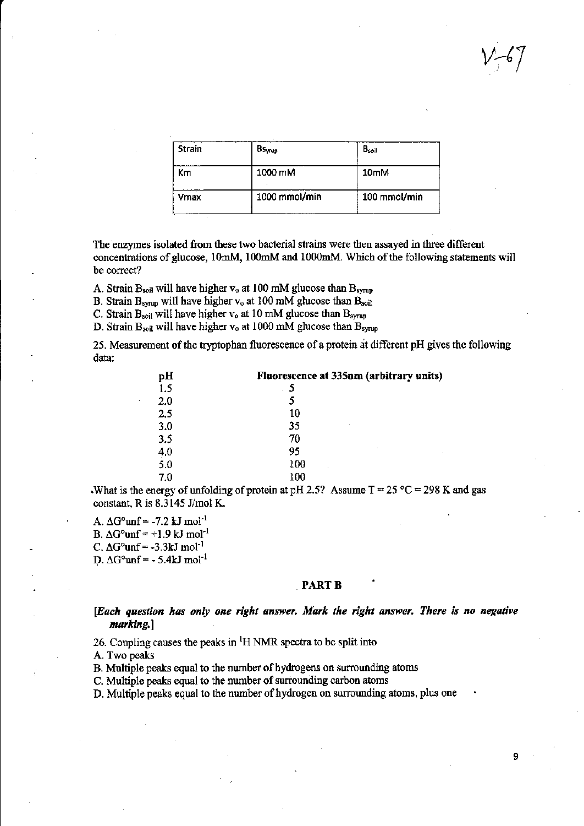| <b>Strain</b> | Bsyrup        | $B_{\rm soil}$   |
|---------------|---------------|------------------|
| Кm            | 1000 mM       | 10 <sub>mM</sub> |
| Vmax          | 1000 mmol/min | 100 mmol/min     |

The enzymes isolated from these two bacterial strains were then assayed in three different concentrations of glucose, 10mM, 100mM and 1000mM. Which of the following statements will be correct?

A. Strain  $B_{\text{soil}}$  will have higher  $v_0$  at 100 mM glucose than  $B_{\text{syrup}}$ 

B. Strain  $B_{symp}$  will have higher  $v_0$  at 100 mM glucose than  $B_{soft}$ 

C. Strain  $B_{\text{soil}}$  will have higher  $v_0$  at 10 mM glucose than  $B_{\text{symn}}$ 

D. Strain B<sub>soil</sub> will have higher v<sub>o</sub> at 1000 mM glucose than B<sub>syrup</sub>

25. Measurement of the tryptophan fluorescence of a protein at different pH gives the following data:

| Fluorescence at 335nm (arbitrary units) |  |  |
|-----------------------------------------|--|--|
| 5                                       |  |  |
|                                         |  |  |
| 10                                      |  |  |
| 35                                      |  |  |
| 70                                      |  |  |
| 95                                      |  |  |
| 100<br>٠                                |  |  |
| 100                                     |  |  |
|                                         |  |  |

.What is the energy of unfolding of protein at pH 2.5? Assume  $T = 25 °C = 298 K$  and gas constant, R is  $8.3145$  J/mol K.

A.  $\Delta G^{\circ}$ unf = -7.2 kJ mol<sup>-1</sup> B.  $\Delta G^{\circ}$ unf = +1.9 kJ mol<sup>-1</sup> C.  $\Delta G^{\circ}$ unf = -3.3kJ mol<sup>-1</sup> D.  $\Delta G^{\circ}$ unf = - 5.4kJ mol<sup>-1</sup>

#### PART<sub>B</sub>

*[Each question has only one right answer. Mark the right answer. There is no negative marking.]* 

26. Coupling causes the peaks in  ${}^{1}H$  NMR spectra to be split into

A. Two peaks

B. Multiple peaks equal to the number of hydrogens on surrounding atoms

C. Multiple peaks equal to the number of surrounding carbon atoms

D. Multiple peaks equal to the number of hydrogen on surrounding atoms, plus one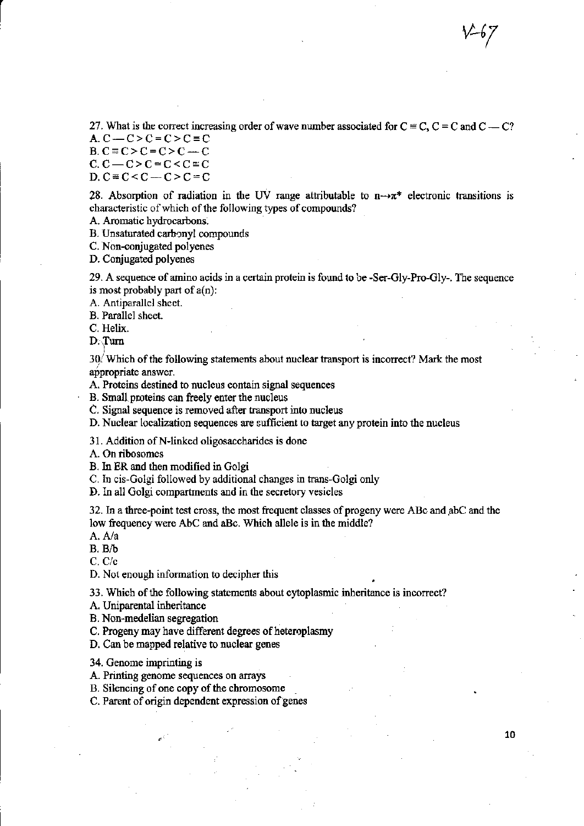27. What is the correct increasing order of wave number associated for  $C = C$ ,  $C = C$  and  $C = C$ ?

A.  $C - C > C = C > C \equiv C$  $B. C \equiv C > C = C > C - C$  $C. C - C > C = C < C \equiv C$ 

 $D. C \equiv C < C - C > C = C$ 

28. Absorption of radiation in the UV range attributable to  $n \rightarrow \pi^*$  electronic transitions is characteristic of which of the following types of compounds?

A. Aromatic hydrocarbons.

B. Unsaturated carbonyl compounds

C. Non-conjugated potyenes

D. Conjugated poiyenes

29. A sequence of amino acids in a certain protein is found to be -Ser-Gly-Pro-Gly-. The sequence is most probably part of  $a(n)$ :

A. Antiparallel sheet.

B. Parallel sheet.

C. Helix.

 $\begin{bmatrix} 1 \\ 1 \end{bmatrix}$ 

D·\furn

3q/ Which of the following statements about nuclear transport is incorrect? Mark the most appropriate answer.

A. Proteins destined to nucleus contain signal sequences

B. Small proteins can freely enter the nucleus

C. Signal sequence is removed after transport into nucleus

D. Nuclear localization sequences are sufficient to target any protein into the nucleus

31. Addition of N-linked oligosaccharides is done

A. On ribosomes

B. In ER and then modified in Goigi

C. In cis-Goigi followed by additional changes in trans-Golgi only

D. In all Golgi compartments and in the secretory vesicles

32. In a three-point test cross, the most frequent classes of progeny were ABc and abC and the low frequency were AbC and aBc. Which allele is in the middle?

A.Ala

 $B. B/b$ 

C. *C/c* 

D. Not enough information to decipher this

33. Which of the following statements about cytoplasmic inheritance is incorrect?

A. Uniparental inheritance

B. Non-medellan segregation

C. Progeny may have different degrees of heteroplasmy

D. Can be mapped relative to nuclear genes

34. Genome imprinting is

A. Printing genome sequences on arrays

B. Silencing of one copy of the chromosome

C. Parent of origin dependent expression of genes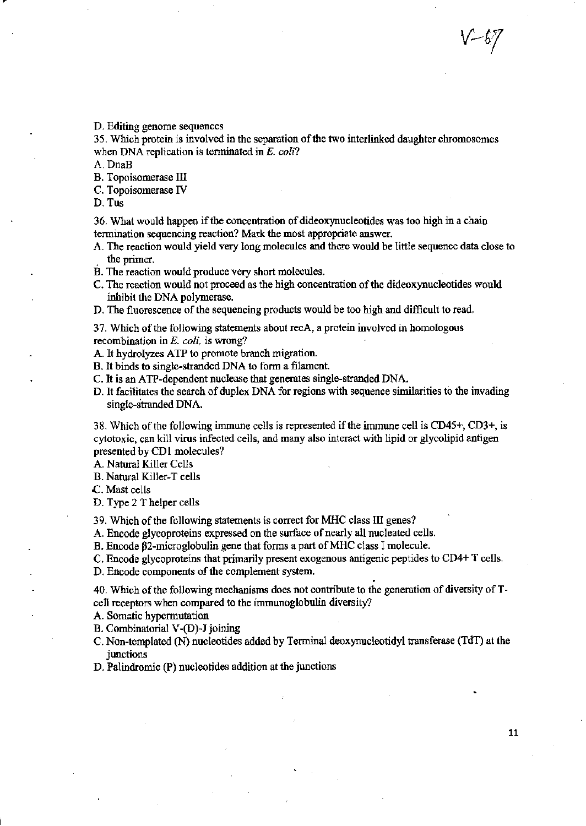D. Editing genome sequences

35. Which protein is involved in the separation of the two interlinked daughter chromosomes when DNA replication is terminated in E. coli?

A. DnaB

B. Topoisomerase III

C. Topoisomerase IV

D. Tus

36. What would bappen if the concentration of dideoxynucleotides was too high in a chain termination sequencing reaction? Matk the most appropriate answer.

- A. The reaction would yield very long molecules and there would be little sequence data close to the primer.
- B. The reaction would produce very short molecules.
- C. The reaction would not proceed as the high concentration of the dideoxynucleotides would inhibit the DNA polymerase.
- D. The fluorescence of the sequencing products would be too high and difficult to read.

37. Which of the following statements about recA, a protein involved in homologous recombination in E. *coli,* is wrong?

A. It hydrolyzes ATP to promote branch migration.

- B. It binds to single-stranded DNA to fonn a filament
- C. It is an ATP-dependent nuclease that generates single-stranded DNA.
- D. It facilitates the search of duplex DNA for regions with sequence similarities to the invading single-stranded DNA.

38. Which of the following immune cells is represented if the immune cell is CD45+, CD3+, is cytotoxic, can kill virus infected cells, and many also interact with lipid or glycolipid antigen presented by CD1 molecules?

A. Natural Killer Cells

B. Natural Killer-T cells

.c. Mast cells

D. Type 2 T helper cells

39. Which of the following statements is correct for MHC class III genes?

A. Encode glycoproteins expressed on the surface of nearly all nucleated cells.

B. Encode  $\beta$ 2-microglobulin gene that forms a part of MHC class I molecule.

C. Encode glycoproteins that primarily present exogenous antigenic peptides to CD4+ T cells.

D. Encode components of the complement system.<br>40. Which of the following mechanisms does not contribute to the generation of diversity of Tcell receptors when compared to the immunoglobulin diversity?

A. Somatic hypermutation

B. Combinatorial V-(D)-J joinjng

C. Non-templated (N) nucleotides added by Terminal deoxynucleotidyl transferase (TdT) at the junctions

D. Palindromic (P) nucleotides addition at the junctions

 $\ell$  – b $\ell$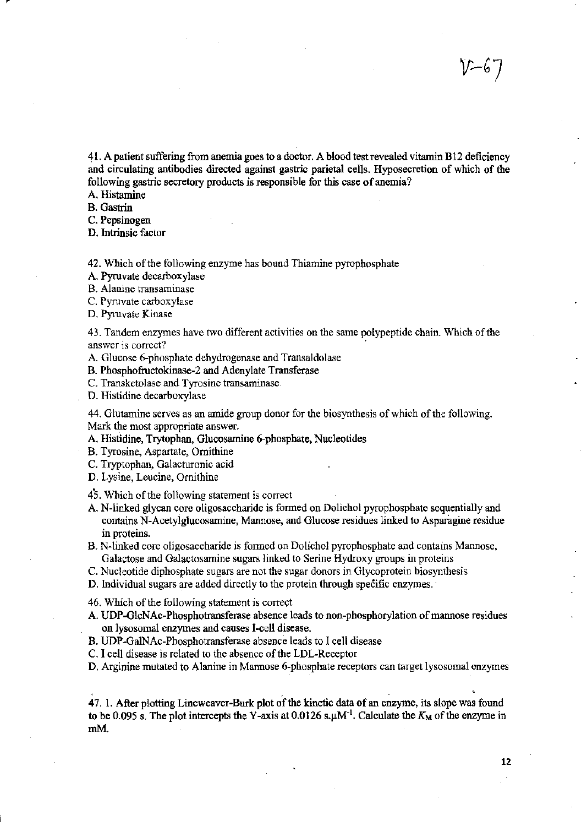41. A patient suffering from anemia goes to a doctor. A blood test revealed vitamin Bl2 deficiency and circulating antibodies directed against gastric parietal cells. Hyposecretion of which of the following gastric secretory products is responsible for this case of anemia?

A. Histamine

B. Gastrin

C. Pepsinogen

D. Intrinsic factor

42. Which of the following enzyme has bound Thiamine pyrophosphate

A. Pyruvate decarboxylase

B. Alanine transaminase

C. Pyruvate carboxylase

D. Pyruvate Kinase

43. Tandem enzymes have two different activities on the same polypeptide chain. Which of the answer is correct?

A. Glucose 6-phosphate dehydrogenase and Transaldolase

B. Phosphofructokinase-2 and Adenylate Transferase

C. Transketolase and Tyrosine transaminase

D. Histidine.decarboxylase

44. Glutamine serves as an amide group donor for the biosynthesis of which of the following. Mark the most appropriate answer.

A. Histidine, Trytophan, Glucosamine 6-phosphate. Nucleotides

B. Tyrosine, Aspartate, Ornithine

C. Tryptophan, Galacturonic acid

D. Lysine, Leucine, Ornithine

45. Which of the following statement is correct

A. N-linked glycan core oligosaccharide is formed on Dolichol pyrophosphate sequentially and contains N-Acetylglucosamine, Mannose, and Glucose residues linked to Asparagine residue in proteins.

B. N-linked core oligosaccharide is fonned on Dolichol pyrophosphate and contains Mannose, Galactose and Galactosamine sugars linked to Serine Hydroxy groups in proteins

C. Nucleotide diphosphate sugars are not the sugar donors in Glycoprotein biosynthesis

D. Individual sugars are added directly to the protein through specific enzymes.

46. Which of the following statement is correct

A. UDP-GlcNAc-Phosphotransferase absence leads to non-phosphorylation of mannose residues on lysosomal enzymes and causes I-cell disease.

B. UDP-GalNAc-Phosphotransferase absence leads to I cell disease

C. I cell disease is related to the absence of the LDL-Receptor

D. Arginine mutated to Alanine in Mannose 6-phosphate receptors can target lysosomal enzymes

47. 1. After plotting Lineweaver-Burk plot of the kinetic data of an enzyme, its slope was found to be 0.095 s. The plot intercepts the Y-axis at 0.0126 s. $\mu$ M<sup>-1</sup>. Calculate the  $K_M$  of the enzyme in mM.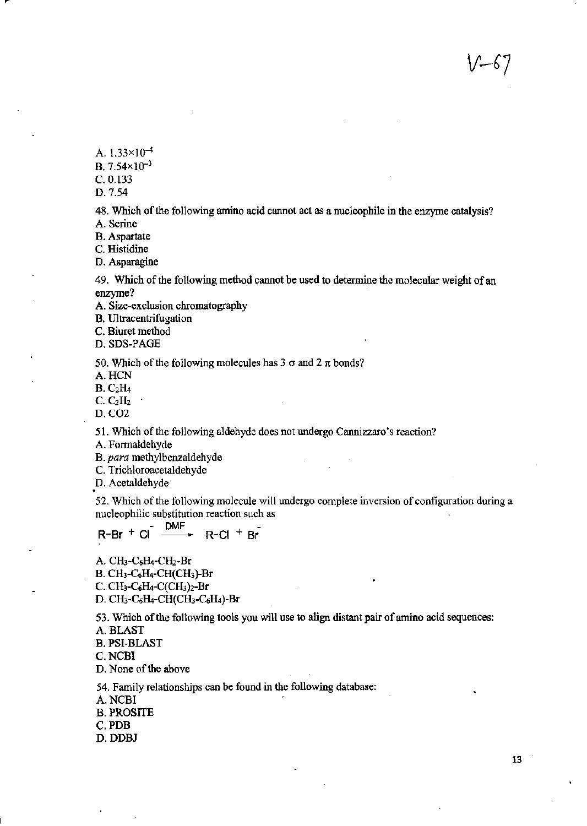/ — চ

A.  $1.33 \times 10^{-4}$ 

B. 7 *.54x 10-3* 

C.O.133

D.7.54

48. Which of the following amino acid cannot act as a nucleophile in the enzyme catalysis? A. Serine

B. Aspartate

C. Histidine

D. Asparagine

49. Which of the following method cannot be used to determine the molecular weight of an enzyme?

A. Size-exclusion chromatography

B. Ultracentrifugation

C. Biuret method

D. SDS-PAGE

50. Which of the following molecules has  $3 \sigma$  and  $2 \pi$  bonds?

A.HCN

 $B. C<sub>2</sub>H<sub>4</sub>$ 

 $C. C<sub>2</sub>H<sub>2</sub>$ 

D.C02

51. Which of the following aldehyde does not undergo Cannizzaro's reaction?

A. Formaldehyde

B. para methylbenzaldehyde

C. Trichloroacetaldehyde

*p.* Acetaldehyde

52. Which of the following molecule will undergo complete inversion of configuration during a nucleophilic substitution reaction such as

#### OMF  $R-Br + CI \xrightarrow{DMr} R-CI + Br$

A. CH<sub>3</sub>-C<sub>6</sub>H<sub>4</sub>-CH<sub>2</sub>-Br B. CH<sub>3</sub>-C<sub>6</sub>H<sub>4</sub>-CH(CH<sub>3</sub>)-Br  $C. CH<sub>3</sub>-C<sub>6</sub>H<sub>4</sub>-C(CH<sub>3</sub>)<sub>2</sub>-Br$ D. CH<sub>3</sub>-C<sub>6</sub>H<sub>4</sub>-CH(CH<sub>3</sub>-C<sub>6</sub>H<sub>4</sub>)-Br

53. Which of the following tools you will use to align distant pair of amino acid sequences:

A. BLAST

B. PSI-BLAST

C.NCBI

D. None of the above

54. Family relationships can be found in the following database:

A. NCBI

B. PROSITE

C.PDB

D.DDBJ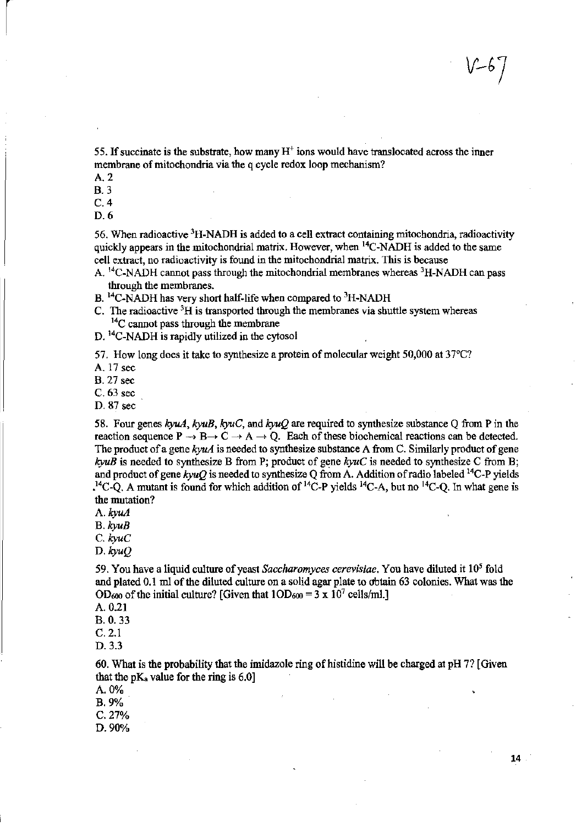55. If succinate is the substrate, how many  $H^+$  ions would have translocated across the inner membrane of mitochondria via the q cycle redox loop mechanism?

A. 2

B.3

C.4

D.6

56. When radioactive 3H\_NADH is added to a cell extract containing mitochondria, radioactivity quickly appears in the mitochondrial matrix. However, when  $^{14}$ C-NADH is added to the same cell extract, no radioactivity is found in the mitochondrial matrix. This is because

- A. <sup>14</sup>C-NADH cannot pass through the mitochondrial membranes whereas <sup>3</sup>H-NADH can pass through the membranes.
- B.  $^{14}$ C-NADH has very short half-life when compared to  $^{3}$ H-NADH
- C. The radioactive 3H is transported through the membranes via shuttle system whereas  $14C$  cannot pass through the membrane
- D. <sup>14</sup>C-NADH is rapidly utilized in the cytosol

57, How long does it take to synthesize a protein of molecular weight 50,000 at 37°C?

A. 17 sec

B. 27 sec

C, 63 sec

0.87 sec

58. Four genes kyuA, *kyuB, kyuC,* and *kyuQ* are required to synthesize substance Q from P in the reaction sequence  $P \rightarrow B \rightarrow C \rightarrow A \rightarrow Q$ . Each of these biochemical reactions can be detected. The product of a gene  $k\gamma u\Delta$  is needed to synthesize substance A from C. Similarly product of gene  $k y u B$  is needed to synthesize B from P; product of gene  $k y u C$  is needed to synthesize C from B; and product of gene  $kyuQ$  is needed to synthesize Q from A. Addition of radio labeled <sup>14</sup>C-P yields  $^{14}$ C-Q. A mutant is found for which addition of <sup>14</sup>C-P yields <sup>14</sup>C-A, but no <sup>14</sup>C-Q. In what gene is the mutation?

*A.kyuA* 

B. *kyuB* 

C. *kyuC* 

*D.kyuQ* 

59. You have a liquid culture of yeast *Saccharomyces cerevisiae,* You have diluted it 105 fold and plated 0.1 ml of the diluted culture on a solid agar plate to obtain 63 colonies. What was the  $OD_{600}$  of the initial culture? [Given that  $1OD_{600} = 3 \times 10^7$  cells/ml.]

A. 0.21

B. O. 33

C.2.1

D.3.3

60. What is the probability that the imidazole ring of histidine will be charged at pH 71 [Given that the  $pK_a$  value for the ring is 6.0]

 $A.0%$ 

B.9%

C.27%

D.90%